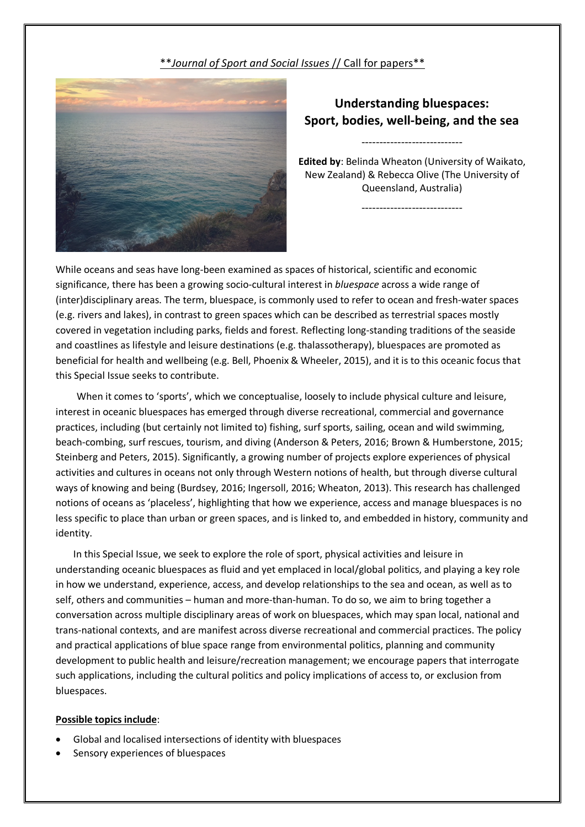# \*\**Journal of Sport and Social Issues* // Call for papers\*\*



# **Understanding bluespaces: Sport, bodies, well-being, and the sea**

----------------------------

**Edited by**: Belinda Wheaton (University of Waikato, New Zealand) & Rebecca Olive (The University of Queensland, Australia)

----------------------------

While oceans and seas have long-been examined as spaces of historical, scientific and economic significance, there has been a growing socio-cultural interest in *bluespace* across a wide range of (inter)disciplinary areas. The term, bluespace, is commonly used to refer to ocean and fresh-water spaces (e.g. rivers and lakes), in contrast to green spaces which can be described as terrestrial spaces mostly covered in vegetation including parks, fields and forest. Reflecting long-standing traditions of the seaside and coastlines as lifestyle and leisure destinations (e.g. thalassotherapy), bluespaces are promoted as beneficial for health and wellbeing (e.g. Bell, Phoenix & Wheeler, 2015), and it is to this oceanic focus that this Special Issue seeks to contribute.

When it comes to 'sports', which we conceptualise, loosely to include physical culture and leisure, interest in oceanic bluespaces has emerged through diverse recreational, commercial and governance practices, including (but certainly not limited to) fishing, surf sports, sailing, ocean and wild swimming, beach-combing, surf rescues, tourism, and diving (Anderson & Peters, 2016; Brown & Humberstone, 2015; Steinberg and Peters, 2015). Significantly, a growing number of projects explore experiences of physical activities and cultures in oceans not only through Western notions of health, but through diverse cultural ways of knowing and being (Burdsey, 2016; Ingersoll, 2016; Wheaton, 2013). This research has challenged notions of oceans as 'placeless', highlighting that how we experience, access and manage bluespaces is no less specific to place than urban or green spaces, and is linked to, and embedded in history, community and identity.

In this Special Issue, we seek to explore the role of sport, physical activities and leisure in understanding oceanic bluespaces as fluid and yet emplaced in local/global politics, and playing a key role in how we understand, experience, access, and develop relationships to the sea and ocean, as well as to self, others and communities – human and more-than-human. To do so, we aim to bring together a conversation across multiple disciplinary areas of work on bluespaces, which may span local, national and trans-national contexts, and are manifest across diverse recreational and commercial practices. The policy and practical applications of blue space range from environmental politics, planning and community development to public health and leisure/recreation management; we encourage papers that interrogate such applications, including the cultural politics and policy implications of access to, or exclusion from bluespaces.

#### **Possible topics include**:

- Global and localised intersections of identity with bluespaces
- Sensory experiences of bluespaces